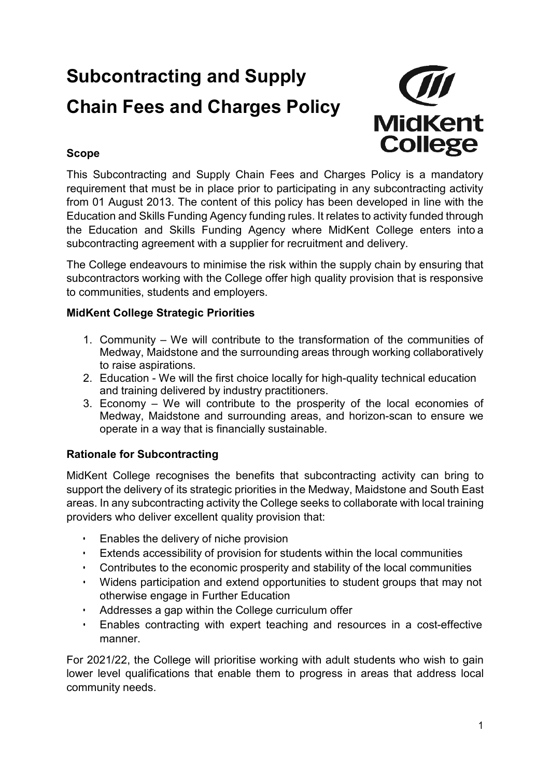# **Subcontracting and Supply Chain Fees and Charges Policy**



# **Scope**

This Subcontracting and Supply Chain Fees and Charges Policy is a mandatory requirement that must be in place prior to participating in any subcontracting activity from 01 August 2013. The content of this policy has been developed in line with the Education and Skills Funding Agency funding rules. It relates to activity funded through the Education and Skills Funding Agency where MidKent College enters into a subcontracting agreement with a supplier for recruitment and delivery.

The College endeavours to minimise the risk within the supply chain by ensuring that subcontractors working with the College offer high quality provision that is responsive to communities, students and employers.

## **MidKent College Strategic Priorities**

- 1. Community We will contribute to the transformation of the communities of Medway, Maidstone and the surrounding areas through working collaboratively to raise aspirations.
- 2. Education We will the first choice locally for high-quality technical education and training delivered by industry practitioners.
- 3. Economy We will contribute to the prosperity of the local economies of Medway, Maidstone and surrounding areas, and horizon-scan to ensure we operate in a way that is financially sustainable.

# **Rationale for Subcontracting**

MidKent College recognises the benefits that subcontracting activity can bring to support the delivery of its strategic priorities in the Medway, Maidstone and South East areas. In any subcontracting activity the College seeks to collaborate with local training providers who deliver excellent quality provision that:

- Enables the delivery of niche provision
- Extends accessibility of provision for students within the local communities
- Contributes to the economic prosperity and stability of the local communities
- Widens participation and extend opportunities to student groups that may not otherwise engage in Further Education
- Addresses a gap within the College curriculum offer
- Enables contracting with expert teaching and resources in a cost-effective manner.

For 2021/22, the College will prioritise working with adult students who wish to gain lower level qualifications that enable them to progress in areas that address local community needs.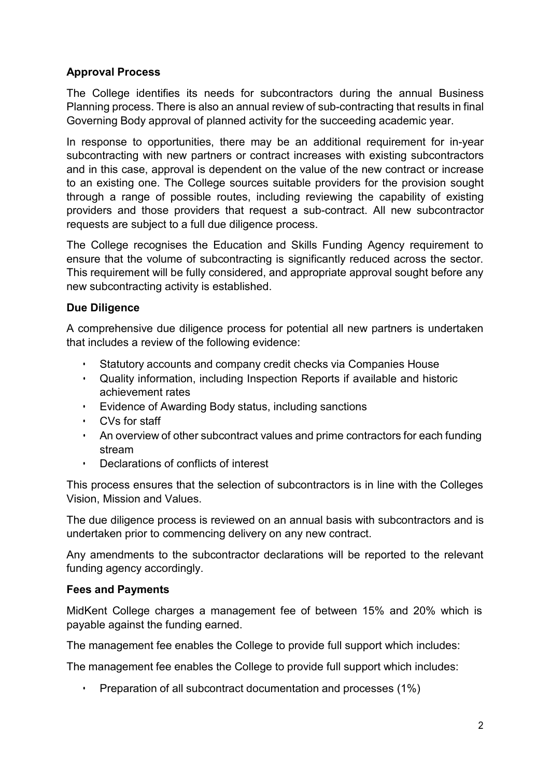## **Approval Process**

The College identifies its needs for subcontractors during the annual Business Planning process. There is also an annual review of sub-contracting that results in final Governing Body approval of planned activity for the succeeding academic year.

In response to opportunities, there may be an additional requirement for in-year subcontracting with new partners or contract increases with existing subcontractors and in this case, approval is dependent on the value of the new contract or increase to an existing one. The College sources suitable providers for the provision sought through a range of possible routes, including reviewing the capability of existing providers and those providers that request a sub-contract. All new subcontractor requests are subject to a full due diligence process.

The College recognises the Education and Skills Funding Agency requirement to ensure that the volume of subcontracting is significantly reduced across the sector. This requirement will be fully considered, and appropriate approval sought before any new subcontracting activity is established.

## **Due Diligence**

A comprehensive due diligence process for potential all new partners is undertaken that includes a review of the following evidence:

- Statutory accounts and company credit checks via Companies House
- Quality information, including Inspection Reports if available and historic achievement rates
- Evidence of Awarding Body status, including sanctions
- CVs for staff
- An overview of other subcontract values and prime contractors for each funding stream
- Declarations of conflicts of interest

This process ensures that the selection of subcontractors is in line with the Colleges Vision, Mission and Values.

The due diligence process is reviewed on an annual basis with subcontractors and is undertaken prior to commencing delivery on any new contract.

Any amendments to the subcontractor declarations will be reported to the relevant funding agency accordingly.

## **Fees and Payments**

MidKent College charges a management fee of between 15% and 20% which is payable against the funding earned.

The management fee enables the College to provide full support which includes:

The management fee enables the College to provide full support which includes:

• Preparation of all subcontract documentation and processes (1%)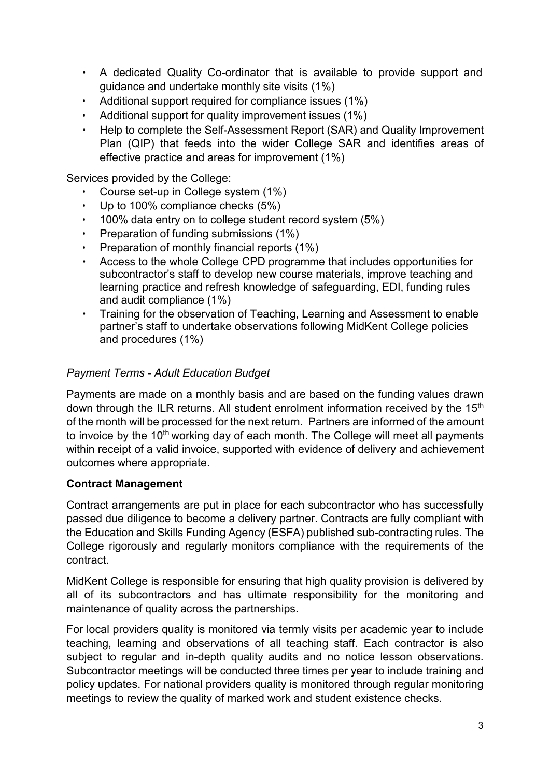- A dedicated Quality Co-ordinator that is available to provide support and guidance and undertake monthly site visits (1%)
- Additional support required for compliance issues (1%)
- Additional support for quality improvement issues (1%)
- Help to complete the Self-Assessment Report (SAR) and Quality Improvement Plan (QIP) that feeds into the wider College SAR and identifies areas of effective practice and areas for improvement (1%)

Services provided by the College:

- Course set-up in College system (1%)
- Up to 100% compliance checks (5%)
- 100% data entry on to college student record system (5%)
- Preparation of funding submissions (1%)
- Preparation of monthly financial reports (1%)
- Access to the whole College CPD programme that includes opportunities for subcontractor's staff to develop new course materials, improve teaching and learning practice and refresh knowledge of safeguarding, EDI, funding rules and audit compliance (1%)
- Training for the observation of Teaching, Learning and Assessment to enable partner's staff to undertake observations following MidKent College policies and procedures (1%)

#### *Payment Terms - Adult Education Budget*

Payments are made on a monthly basis and are based on the funding values drawn down through the ILR returns. All student enrolment information received by the 15<sup>th</sup> of the month will be processed for the next return. Partners are informed of the amount to invoice by the  $10<sup>th</sup>$  working day of each month. The College will meet all payments within receipt of a valid invoice, supported with evidence of delivery and achievement outcomes where appropriate.

#### **Contract Management**

Contract arrangements are put in place for each subcontractor who has successfully passed due diligence to become a delivery partner. Contracts are fully compliant with the Education and Skills Funding Agency (ESFA) published sub-contracting rules. The College rigorously and regularly monitors compliance with the requirements of the contract.

MidKent College is responsible for ensuring that high quality provision is delivered by all of its subcontractors and has ultimate responsibility for the monitoring and maintenance of quality across the partnerships.

For local providers quality is monitored via termly visits per academic year to include teaching, learning and observations of all teaching staff. Each contractor is also subject to regular and in-depth quality audits and no notice lesson observations. Subcontractor meetings will be conducted three times per year to include training and policy updates. For national providers quality is monitored through regular monitoring meetings to review the quality of marked work and student existence checks.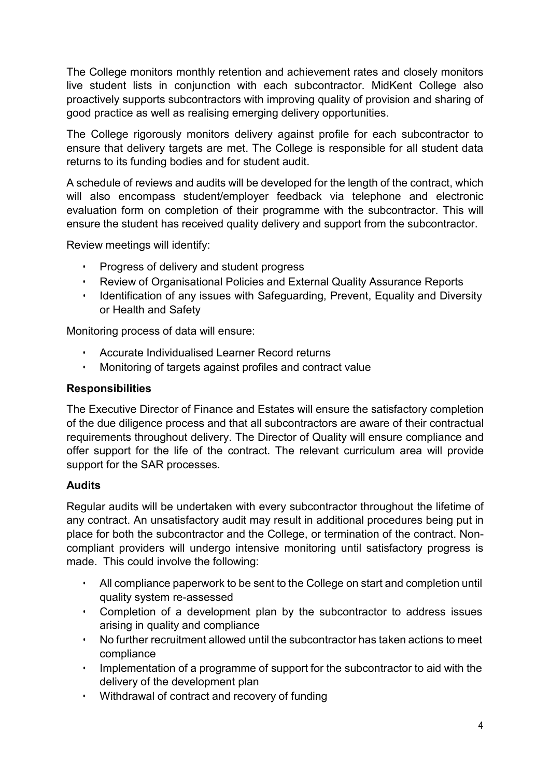The College monitors monthly retention and achievement rates and closely monitors live student lists in conjunction with each subcontractor. MidKent College also proactively supports subcontractors with improving quality of provision and sharing of good practice as well as realising emerging delivery opportunities.

The College rigorously monitors delivery against profile for each subcontractor to ensure that delivery targets are met. The College is responsible for all student data returns to its funding bodies and for student audit.

A schedule of reviews and audits will be developed for the length of the contract, which will also encompass student/employer feedback via telephone and electronic evaluation form on completion of their programme with the subcontractor. This will ensure the student has received quality delivery and support from the subcontractor.

Review meetings will identify:

- Progress of delivery and student progress
- Review of Organisational Policies and External Quality Assurance Reports
- Identification of any issues with Safeguarding, Prevent, Equality and Diversity or Health and Safety

Monitoring process of data will ensure:

- Accurate Individualised Learner Record returns
- Monitoring of targets against profiles and contract value

## **Responsibilities**

The Executive Director of Finance and Estates will ensure the satisfactory completion of the due diligence process and that all subcontractors are aware of their contractual requirements throughout delivery. The Director of Quality will ensure compliance and offer support for the life of the contract. The relevant curriculum area will provide support for the SAR processes.

# **Audits**

Regular audits will be undertaken with every subcontractor throughout the lifetime of any contract. An unsatisfactory audit may result in additional procedures being put in place for both the subcontractor and the College, or termination of the contract. Noncompliant providers will undergo intensive monitoring until satisfactory progress is made. This could involve the following:

- All compliance paperwork to be sent to the College on start and completion until quality system re-assessed
- Completion of a development plan by the subcontractor to address issues arising in quality and compliance
- No further recruitment allowed until the subcontractor has taken actions to meet compliance
- Implementation of a programme of support for the subcontractor to aid with the delivery of the development plan
- Withdrawal of contract and recovery of funding